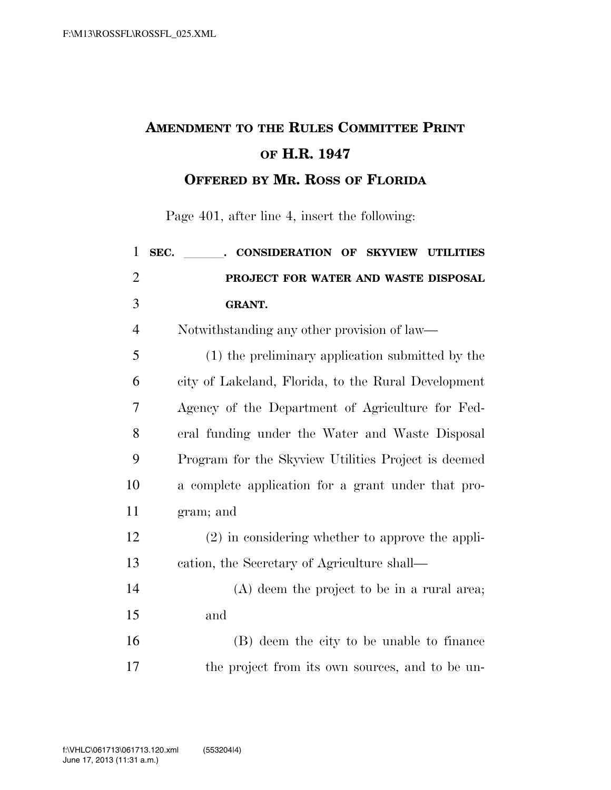## **AMENDMENT TO THE RULES COMMITTEE PRINT OF H.R. 1947 OFFERED BY MR. ROSS OF FLORIDA**

Page 401, after line 4, insert the following:

| $\mathbf{1}$   | SEC.<br>. CONSIDERATION OF SKYVIEW UTILITIES        |
|----------------|-----------------------------------------------------|
| $\overline{2}$ | PROJECT FOR WATER AND WASTE DISPOSAL                |
| 3              | <b>GRANT.</b>                                       |
| $\overline{4}$ | Notwithstanding any other provision of law—         |
| 5              | (1) the preliminary application submitted by the    |
| 6              | city of Lakeland, Florida, to the Rural Development |
| 7              | Agency of the Department of Agriculture for Fed-    |
| 8              | eral funding under the Water and Waste Disposal     |
| 9              | Program for the Skyview Utilities Project is deemed |
| 10             | a complete application for a grant under that pro-  |
| 11             | gram; and                                           |
| 12             | $(2)$ in considering whether to approve the appli-  |
| 13             | cation, the Secretary of Agriculture shall—         |
| 14             | $(A)$ deem the project to be in a rural area;       |
| 15             | and                                                 |
| 16             | (B) deem the city to be unable to finance           |
| 17             | the project from its own sources, and to be un-     |